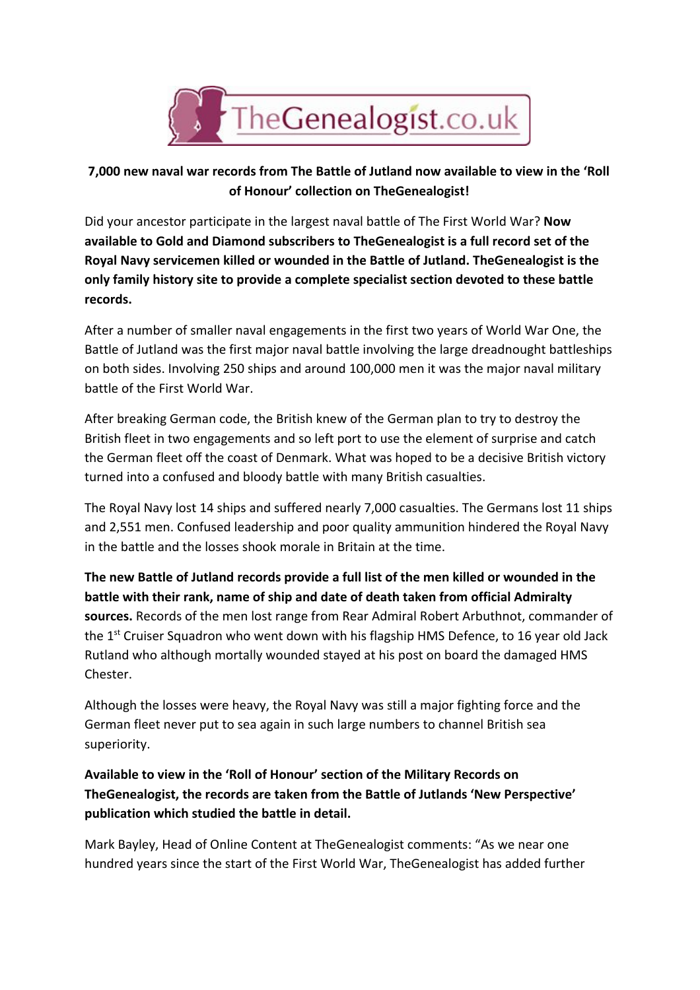

## **7,000 new naval war records from The Battle of Jutland now available to view in the 'Roll of Honour' collection on TheGenealogist!**

Did your ancestor participate in the largest naval battle of The First World War? **Now available to Gold and Diamond subscribers to TheGenealogist is a full record set of the Royal Navy servicemen killed or wounded in the Battle of Jutland. TheGenealogist is the only family history site to provide a complete specialist section devoted to these battle records.**

After a number of smaller naval engagements in the first two years of World War One, the Battle of Jutland was the first major naval battle involving the large dreadnought battleships on both sides. Involving 250 ships and around 100,000 men it was the major naval military battle of the First World War.

After breaking German code, the British knew of the German plan to try to destroy the British fleet in two engagements and so left port to use the element of surprise and catch the German fleet off the coast of Denmark. What was hoped to be a decisive British victory turned into a confused and bloody battle with many British casualties.

The Royal Navy lost 14 ships and suffered nearly 7,000 casualties. The Germans lost 11 ships and 2,551 men. Confused leadership and poor quality ammunition hindered the Royal Navy in the battle and the losses shook morale in Britain at the time.

**The new Battle of Jutland records provide a full list of the men killed or wounded in the battle with their rank, name of ship and date of death taken from official Admiralty sources.**Records of the men lost range from Rear Admiral Robert Arbuthnot, commander of the 1<sup>st</sup> Cruiser Squadron who went down with his flagship HMS Defence, to 16 year old Jack Rutland who although mortally wounded stayed at his post on board the damaged HMS Chester.

Although the losses were heavy, the Royal Navy was still a major fighting force and the German fleet never put to sea again in such large numbers to channel British sea superiority.

**Available to view in the 'Roll of Honour' section of the Military Records on TheGenealogist, the records are taken from the Battle of Jutlands 'New Perspective' publication which studied the battle in detail.**

Mark Bayley, Head of Online Content at TheGenealogist comments: "As we near one hundred years since the start of the First World War, TheGenealogist has added further